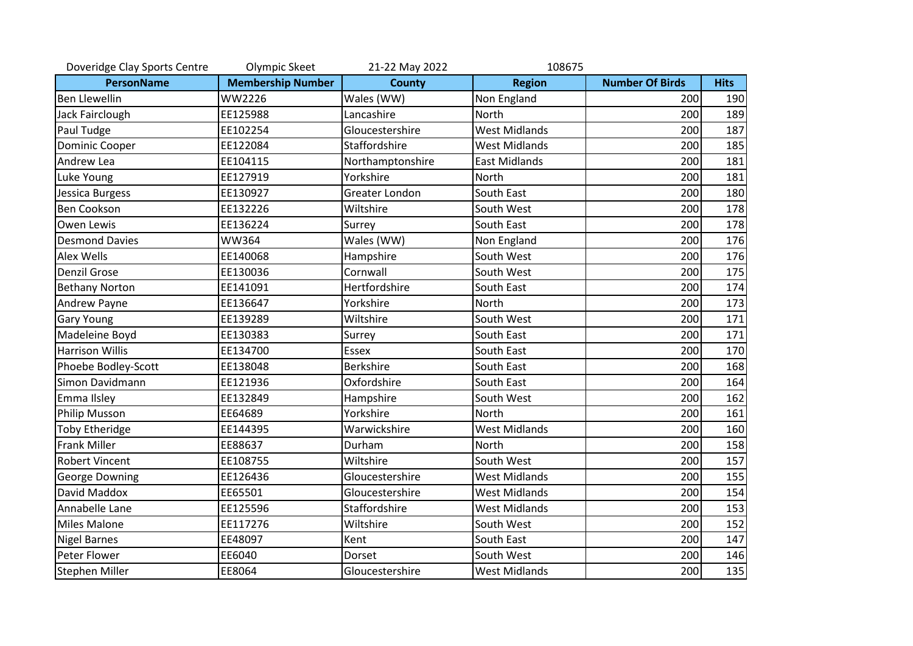| Doveridge Clay Sports Centre | Olympic Skeet            | 21-22 May 2022   | 108675               |                        |             |
|------------------------------|--------------------------|------------------|----------------------|------------------------|-------------|
| <b>PersonName</b>            | <b>Membership Number</b> | <b>County</b>    | <b>Region</b>        | <b>Number Of Birds</b> | <b>Hits</b> |
| <b>Ben Llewellin</b>         | WW2226                   | Wales (WW)       | Non England          | 200                    | 190         |
| Jack Fairclough              | EE125988                 | Lancashire       | <b>North</b>         | 200                    | 189         |
| Paul Tudge                   | EE102254                 | Gloucestershire  | <b>West Midlands</b> | 200                    | 187         |
| <b>Dominic Cooper</b>        | EE122084                 | Staffordshire    | <b>West Midlands</b> | 200                    | 185         |
| Andrew Lea                   | EE104115                 | Northamptonshire | <b>East Midlands</b> | 200                    | 181         |
| Luke Young                   | EE127919                 | Yorkshire        | <b>North</b>         | 200                    | 181         |
| Jessica Burgess              | EE130927                 | Greater London   | South East           | 200                    | 180         |
| <b>Ben Cookson</b>           | EE132226                 | Wiltshire        | South West           | 200                    | 178         |
| Owen Lewis                   | EE136224                 | Surrey           | South East           | 200                    | 178         |
| <b>Desmond Davies</b>        | <b>WW364</b>             | Wales (WW)       | Non England          | 200                    | 176         |
| Alex Wells                   | EE140068                 | Hampshire        | South West           | 200                    | 176         |
| <b>Denzil Grose</b>          | EE130036                 | Cornwall         | South West           | 200                    | 175         |
| <b>Bethany Norton</b>        | EE141091                 | Hertfordshire    | South East           | 200                    | 174         |
| Andrew Payne                 | EE136647                 | Yorkshire        | <b>North</b>         | 200                    | 173         |
| <b>Gary Young</b>            | EE139289                 | Wiltshire        | South West           | 200                    | 171         |
| Madeleine Boyd               | EE130383                 | Surrey           | South East           | 200                    | 171         |
| <b>Harrison Willis</b>       | EE134700                 | <b>Essex</b>     | South East           | 200                    | 170         |
| Phoebe Bodley-Scott          | EE138048                 | <b>Berkshire</b> | South East           | 200                    | 168         |
| Simon Davidmann              | EE121936                 | Oxfordshire      | South East           | 200                    | 164         |
| Emma Ilsley                  | EE132849                 | Hampshire        | South West           | 200                    | 162         |
| <b>Philip Musson</b>         | EE64689                  | Yorkshire        | <b>North</b>         | 200                    | 161         |
| <b>Toby Etheridge</b>        | EE144395                 | Warwickshire     | <b>West Midlands</b> | 200                    | 160         |
| <b>Frank Miller</b>          | EE88637                  | Durham           | <b>North</b>         | 200                    | 158         |
| <b>Robert Vincent</b>        | EE108755                 | Wiltshire        | South West           | 200                    | 157         |
| George Downing               | EE126436                 | Gloucestershire  | <b>West Midlands</b> | 200                    | 155         |
| David Maddox                 | EE65501                  | Gloucestershire  | <b>West Midlands</b> | 200                    | 154         |
| Annabelle Lane               | EE125596                 | Staffordshire    | <b>West Midlands</b> | 200                    | 153         |
| <b>Miles Malone</b>          | EE117276                 | Wiltshire        | South West           | 200                    | 152         |
| <b>Nigel Barnes</b>          | EE48097                  | Kent             | South East           | 200                    | 147         |
| Peter Flower                 | EE6040                   | Dorset           | South West           | 200                    | 146         |
| Stephen Miller               | EE8064                   | Gloucestershire  | <b>West Midlands</b> | 200                    | 135         |